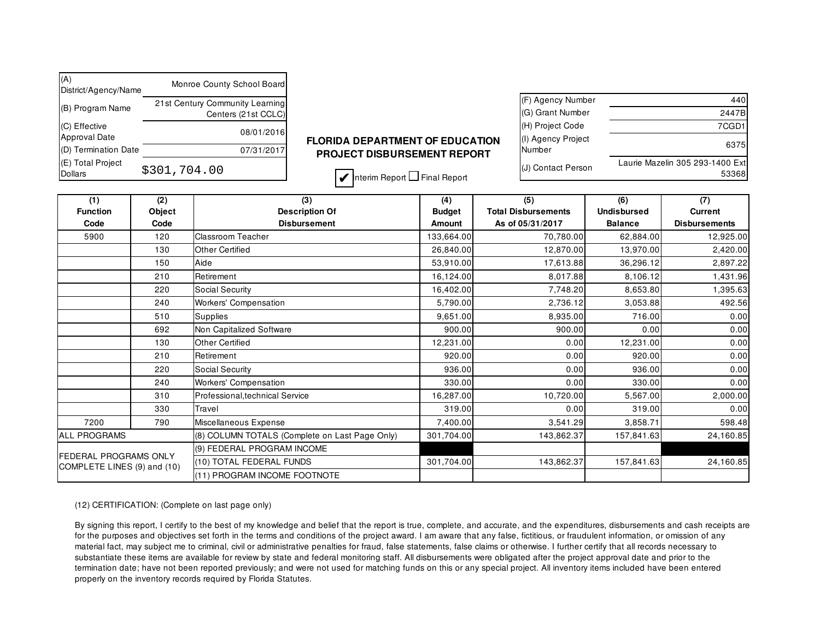| (A)<br>District/Agency/Name           | Monroe County School Board                             |                |
|---------------------------------------|--------------------------------------------------------|----------------|
| (B) Program Name                      | 21st Century Community Learning<br>Centers (21st CCLC) |                |
| (C) Effective<br><b>Approval Date</b> | 08/01/2016                                             | <b>FLORIDA</b> |
| (D) Termination Date                  | 07/31/2017                                             | <b>PROJE</b>   |
| (E) Total Project<br><b>Dollars</b>   | \$301,704.00                                           |                |

## **FLORIDA DEPARTMENT OF EDUCATION PROJECT DISBURSEMENT REPORT**

| (F) Agency Number            | 440                                      |
|------------------------------|------------------------------------------|
| (G) Grant Number             | 2447B                                    |
| (H) Project Code             | 7CGD1                                    |
| (I) Agency Project<br>Number | 6375                                     |
| (J) Contact Person           | Laurie Mazelin 305 293-1400 Ext<br>53368 |

 $\blacktriangleright$  Interim Report  $\square$  Final Report

| (2)<br>(1)                                           |                                                              | (3)                             | (4)           | (5)                        | (6)                | (7)                  |  |
|------------------------------------------------------|--------------------------------------------------------------|---------------------------------|---------------|----------------------------|--------------------|----------------------|--|
| <b>Function</b>                                      | Object                                                       | <b>Description Of</b>           | <b>Budget</b> | <b>Total Disbursements</b> | <b>Undisbursed</b> | <b>Current</b>       |  |
| Code                                                 | Code                                                         | <b>Disbursement</b>             | <b>Amount</b> | As of 05/31/2017           | <b>Balance</b>     | <b>Disbursements</b> |  |
| 5900<br>120                                          |                                                              | <b>Classroom Teacher</b>        | 133,664.00    | 70,780.00                  | 62,884.00          | 12,925.00            |  |
|                                                      | 130                                                          | <b>Other Certified</b>          | 26,840.00     | 12,870.00                  | 13,970.00          | 2,420.00             |  |
| 150                                                  |                                                              | Aide                            | 53,910.00     | 17,613.88                  | 36,296.12          | 2,897.22             |  |
|                                                      | 210                                                          | Retirement                      | 16,124.00     | 8,017.88                   | 8,106.12           | 1,431.96             |  |
| 220<br>240                                           |                                                              | Social Security                 | 16,402.00     | 7,748.20                   | 8,653.80           | 1,395.63             |  |
|                                                      |                                                              | <b>Workers' Compensation</b>    | 5,790.00      | 2,736.12                   | 3,053.88           | 492.56               |  |
|                                                      | 510                                                          | Supplies                        | 9,651.00      | 8,935.00                   | 716.00             | 0.00                 |  |
|                                                      | 692                                                          | Non Capitalized Software        | 900.00        | 900.00                     | 0.00               | 0.00                 |  |
|                                                      | 130                                                          | <b>Other Certified</b>          | 12,231.00     | 0.00                       | 12,231.00          | 0.00                 |  |
|                                                      | 210                                                          | Retirement                      | 920.00        | 0.00                       | 920.00             | 0.00                 |  |
| 220                                                  |                                                              | Social Security                 | 936.00        | 0.00                       | 936.00             | 0.00                 |  |
|                                                      | 240                                                          | Workers' Compensation           | 330.00        | 0.00                       | 330.00             | 0.00                 |  |
|                                                      | 310                                                          | Professional, technical Service | 16,287.00     | 10,720.00                  | 5,567.00           | 2,000.00             |  |
|                                                      | 330                                                          | Travel                          | 319.00        | 0.00                       | 319.00             | 0.00                 |  |
| 7200                                                 | 790                                                          | Miscellaneous Expense           | 7,400.00      | 3,541.29                   | 3,858.71           | 598.48               |  |
| ALL PROGRAMS                                         | (8) COLUMN TOTALS (Complete on Last Page Only)<br>301,704.00 |                                 | 143,862.37    | 157,841.63                 | 24,160.85          |                      |  |
|                                                      |                                                              | (9) FEDERAL PROGRAM INCOME      |               |                            |                    |                      |  |
| FEDERAL PROGRAMS ONLY<br>COMPLETE LINES (9) and (10) |                                                              | (10) TOTAL FEDERAL FUNDS        | 301,704.00    | 143,862.37                 | 157,841.63         | 24,160.85            |  |
|                                                      |                                                              | (11) PROGRAM INCOME FOOTNOTE    |               |                            |                    |                      |  |

## (12) CERTIFICATION: (Complete on last page only)

By signing this report, I certify to the best of my knowledge and belief that the report is true, complete, and accurate, and the expenditures, disbursements and cash receipts are for the purposes and objectives set forth in the terms and conditions of the project award. I am aware that any false, fictitious, or fraudulent information, or omission of any material fact, may subject me to criminal, civil or administrative penalties for fraud, false statements, false claims or otherwise. I further certify that all records necessary to substantiate these items are available for review by state and federal monitoring staff. All disbursements were obligated after the project approval date and prior to the termination date; have not been reported previously; and were not used for matching funds on this or any special project. All inventory items included have been entered properly on the inventory records required by Florida Statutes.